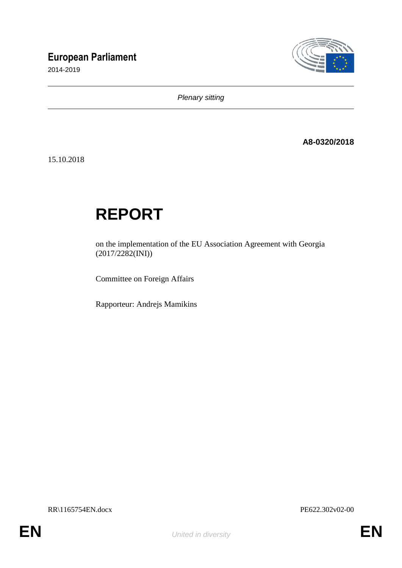# **European Parliament**

2014-2019



*Plenary sitting*

**A8-0320/2018**

15.10.2018

# **REPORT**

on the implementation of the EU Association Agreement with Georgia (2017/2282(INI))

Committee on Foreign Affairs

Rapporteur: Andrejs Mamikins

RR\1165754EN.docx PE622.302v02-00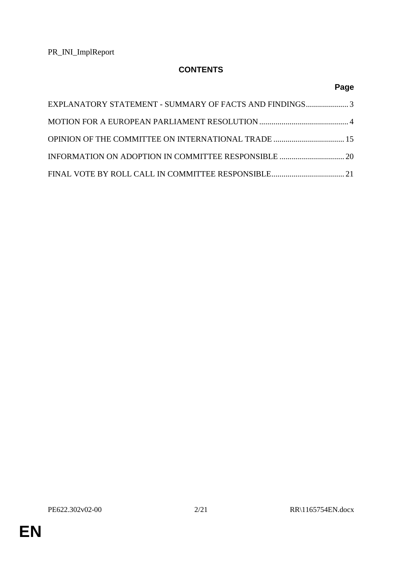# **CONTENTS**

# **Page**

| EXPLANATORY STATEMENT - SUMMARY OF FACTS AND FINDINGS3 |  |
|--------------------------------------------------------|--|
|                                                        |  |
|                                                        |  |
|                                                        |  |
|                                                        |  |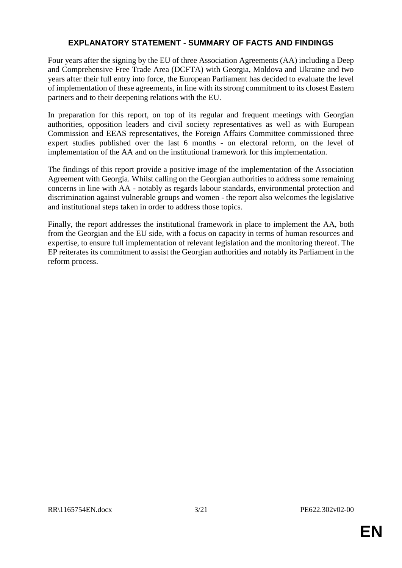## **EXPLANATORY STATEMENT - SUMMARY OF FACTS AND FINDINGS**

Four years after the signing by the EU of three Association Agreements (AA) including a Deep and Comprehensive Free Trade Area (DCFTA) with Georgia, Moldova and Ukraine and two years after their full entry into force, the European Parliament has decided to evaluate the level of implementation of these agreements, in line with its strong commitment to its closest Eastern partners and to their deepening relations with the EU.

In preparation for this report, on top of its regular and frequent meetings with Georgian authorities, opposition leaders and civil society representatives as well as with European Commission and EEAS representatives, the Foreign Affairs Committee commissioned three expert studies published over the last 6 months - on electoral reform, on the level of implementation of the AA and on the institutional framework for this implementation.

The findings of this report provide a positive image of the implementation of the Association Agreement with Georgia. Whilst calling on the Georgian authorities to address some remaining concerns in line with AA - notably as regards labour standards, environmental protection and discrimination against vulnerable groups and women - the report also welcomes the legislative and institutional steps taken in order to address those topics.

Finally, the report addresses the institutional framework in place to implement the AA, both from the Georgian and the EU side, with a focus on capacity in terms of human resources and expertise, to ensure full implementation of relevant legislation and the monitoring thereof. The EP reiterates its commitment to assist the Georgian authorities and notably its Parliament in the reform process.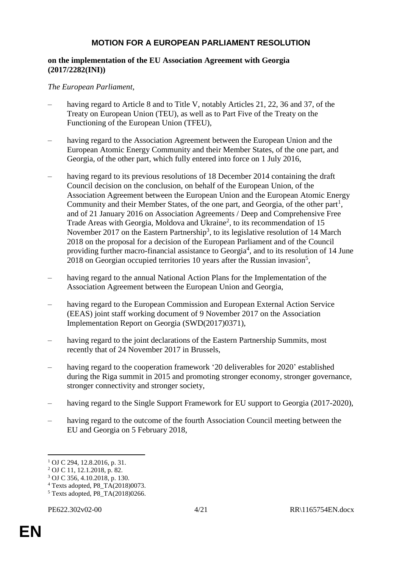## **MOTION FOR A EUROPEAN PARLIAMENT RESOLUTION**

#### **on the implementation of the EU Association Agreement with Georgia (2017/2282(INI))**

#### *The European Parliament*,

- having regard to Article 8 and to Title V, notably Articles 21, 22, 36 and 37, of the Treaty on European Union (TEU), as well as to Part Five of the Treaty on the Functioning of the European Union (TFEU),
- having regard to the Association Agreement between the European Union and the European Atomic Energy Community and their Member States, of the one part, and Georgia, of the other part, which fully entered into force on 1 July 2016,
- having regard to its previous resolutions of 18 December 2014 containing the draft Council decision on the conclusion, on behalf of the European Union, of the Association Agreement between the European Union and the European Atomic Energy Community and their Member States, of the one part, and Georgia, of the other part<sup>1</sup>, and of 21 January 2016 on Association Agreements / Deep and Comprehensive Free Trade Areas with Georgia, Moldova and Ukraine<sup>2</sup>, to its recommendation of 15 November 2017 on the Eastern Partnership<sup>3</sup>, to its legislative resolution of 14 March 2018 on the proposal for a decision of the European Parliament and of the Council providing further macro-financial assistance to Georgia<sup>4</sup>, and to its resolution of 14 June 2018 on Georgian occupied territories 10 years after the Russian invasion<sup>5</sup>,
- having regard to the annual National Action Plans for the Implementation of the Association Agreement between the European Union and Georgia,
- having regard to the European Commission and European External Action Service (EEAS) joint staff working document of 9 November 2017 on the Association Implementation Report on Georgia (SWD(2017)0371),
- having regard to the joint declarations of the Eastern Partnership Summits, most recently that of 24 November 2017 in Brussels,
- having regard to the cooperation framework '20 deliverables for 2020' established during the Riga summit in 2015 and promoting stronger economy, stronger governance, stronger connectivity and stronger society,
- having regard to the Single Support Framework for EU support to Georgia (2017-2020),
- having regard to the outcome of the fourth Association Council meeting between the EU and Georgia on 5 February 2018,

 $\overline{a}$ 

<sup>1</sup> OJ C 294, 12.8.2016, p. 31.

<sup>2</sup> OJ C 11, 12.1.2018, p. 82.

<sup>3</sup> OJ C 356, 4.10.2018, p. 130.

<sup>4</sup> Texts adopted, P8\_TA(2018)0073.

<sup>5</sup> Texts adopted, P8\_TA(2018)0266.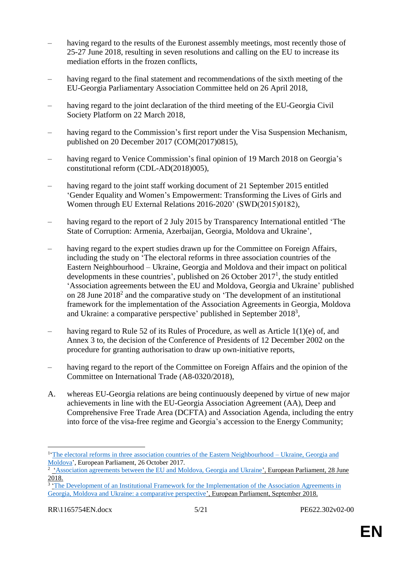- having regard to the results of the Euronest assembly meetings, most recently those of 25-27 June 2018, resulting in seven resolutions and calling on the EU to increase its mediation efforts in the frozen conflicts,
- having regard to the final statement and recommendations of the sixth meeting of the EU-Georgia Parliamentary Association Committee held on 26 April 2018,
- having regard to the joint declaration of the third meeting of the EU-Georgia Civil Society Platform on 22 March 2018,
- having regard to the Commission's first report under the Visa Suspension Mechanism, published on 20 December 2017 (COM(2017)0815),
- having regard to Venice Commission's final opinion of 19 March 2018 on Georgia's constitutional reform (CDL-AD(2018)005),
- having regard to the joint staff working document of 21 September 2015 entitled 'Gender Equality and Women's Empowerment: Transforming the Lives of Girls and Women through EU External Relations 2016-2020' (SWD(2015)0182),
- having regard to the report of 2 July 2015 by Transparency International entitled 'The State of Corruption: Armenia, Azerbaijan, Georgia, Moldova and Ukraine',
- having regard to the expert studies drawn up for the Committee on Foreign Affairs, including the study on 'The electoral reforms in three association countries of the Eastern Neighbourhood – Ukraine, Georgia and Moldova and their impact on political developments in these countries', published on 26 October  $2017<sup>1</sup>$ , the study entitled 'Association agreements between the EU and Moldova, Georgia and Ukraine' published on 28 June 2018<sup>2</sup> and the comparative study on 'The development of an institutional framework for the implementation of the Association Agreements in Georgia, Moldova and Ukraine: a comparative perspective' published in September 2018<sup>3</sup>,
- having regard to Rule 52 of its Rules of Procedure, as well as Article  $1(1)(e)$  of, and Annex 3 to, the decision of the Conference of Presidents of 12 December 2002 on the procedure for granting authorisation to draw up own-initiative reports,
- having regard to the report of the Committee on Foreign Affairs and the opinion of the Committee on International Trade (A8-0320/2018),
- A. whereas EU-Georgia relations are being continuously deepened by virtue of new major achievements in line with the EU-Georgia Association Agreement (AA), Deep and Comprehensive Free Trade Area (DCFTA) and Association Agenda, including the entry into force of the visa-free regime and Georgia's accession to the Energy Community;

 $\overline{a}$ 

<sup>&</sup>lt;sup>1</sup>The electoral reforms in three association countries of the Eastern Neighbourhood – Ukraine, Georgia and [Moldova'](http://www.europarl.europa.eu/RegData/etudes/STUD/2017/603850/EXPO_STU(2017)603850_EN.pdf), European Parliament, 26 October 2017.

<sup>&</sup>lt;sup>2</sup> ['Association agreements between the EU and Moldova, Georgia and Ukraine'](http://www.europarl.europa.eu/RegData/etudes/STUD/2018/621833/EPRS_STU(2018)621833_EN.pdf), European Parliament, 28 June 2018.

<sup>&</sup>lt;sup>3</sup> The Development of an Institutional Framework for the Implementation of the Association Agreements in [Georgia, Moldova and Ukraine: a comparative perspective'](http://www.europarl.europa.eu/RegData/etudes/STUD/2018/603879/EXPO_STU(2018)603879_EN.pdf), European Parliament, September 2018.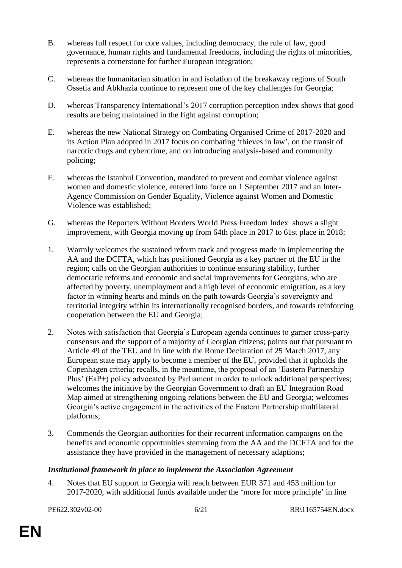- B. whereas full respect for core values, including democracy, the rule of law, good governance, human rights and fundamental freedoms, including the rights of minorities, represents a cornerstone for further European integration;
- C. whereas the humanitarian situation in and isolation of the breakaway regions of South Ossetia and Abkhazia continue to represent one of the key challenges for Georgia;
- D. whereas Transparency International's 2017 corruption perception index shows that good results are being maintained in the fight against corruption;
- E. whereas the new National Strategy on Combating Organised Crime of 2017-2020 and its Action Plan adopted in 2017 focus on combating 'thieves in law', on the transit of narcotic drugs and cybercrime, and on introducing analysis-based and community policing;
- F. whereas the Istanbul Convention, mandated to prevent and combat violence against women and domestic violence, entered into force on 1 September 2017 and an Inter-Agency Commission on Gender Equality, Violence against Women and Domestic Violence was established;
- G. whereas the Reporters Without Borders World Press Freedom Index shows a slight improvement, with Georgia moving up from 64th place in 2017 to 61st place in 2018;
- 1. Warmly welcomes the sustained reform track and progress made in implementing the AA and the DCFTA, which has positioned Georgia as a key partner of the EU in the region; calls on the Georgian authorities to continue ensuring stability, further democratic reforms and economic and social improvements for Georgians, who are affected by poverty, unemployment and a high level of economic emigration, as a key factor in winning hearts and minds on the path towards Georgia's sovereignty and territorial integrity within its internationally recognised borders, and towards reinforcing cooperation between the EU and Georgia;
- 2. Notes with satisfaction that Georgia's European agenda continues to garner cross-party consensus and the support of a majority of Georgian citizens; points out that pursuant to Article 49 of the TEU and in line with the Rome Declaration of 25 March 2017, any European state may apply to become a member of the EU, provided that it upholds the Copenhagen criteria; recalls, in the meantime, the proposal of an 'Eastern Partnership Plus' (EaP+) policy advocated by Parliament in order to unlock additional perspectives; welcomes the initiative by the Georgian Government to draft an EU Integration Road Map aimed at strengthening ongoing relations between the EU and Georgia; welcomes Georgia's active engagement in the activities of the Eastern Partnership multilateral platforms;
- 3. Commends the Georgian authorities for their recurrent information campaigns on the benefits and economic opportunities stemming from the AA and the DCFTA and for the assistance they have provided in the management of necessary adaptions;

#### *Institutional framework in place to implement the Association Agreement*

4. Notes that EU support to Georgia will reach between EUR 371 and 453 million for 2017-2020, with additional funds available under the 'more for more principle' in line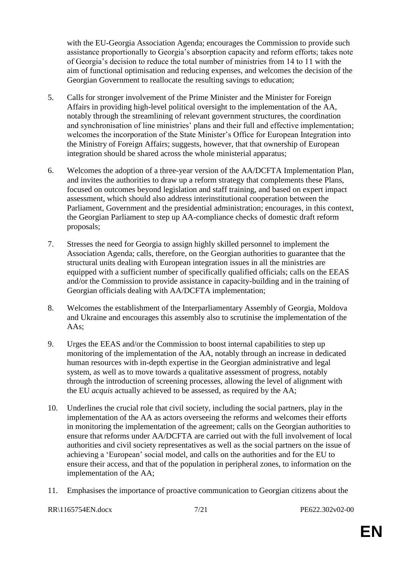with the EU-Georgia Association Agenda; encourages the Commission to provide such assistance proportionally to Georgia's absorption capacity and reform efforts; takes note of Georgia's decision to reduce the total number of ministries from 14 to 11 with the aim of functional optimisation and reducing expenses, and welcomes the decision of the Georgian Government to reallocate the resulting savings to education;

- 5. Calls for stronger involvement of the Prime Minister and the Minister for Foreign Affairs in providing high-level political oversight to the implementation of the AA, notably through the streamlining of relevant government structures, the coordination and synchronisation of line ministries' plans and their full and effective implementation; welcomes the incorporation of the State Minister's Office for European Integration into the Ministry of Foreign Affairs; suggests, however, that that ownership of European integration should be shared across the whole ministerial apparatus;
- 6. Welcomes the adoption of a three-year version of the AA/DCFTA Implementation Plan, and invites the authorities to draw up a reform strategy that complements these Plans, focused on outcomes beyond legislation and staff training, and based on expert impact assessment, which should also address interinstitutional cooperation between the Parliament, Government and the presidential administration; encourages, in this context, the Georgian Parliament to step up AA-compliance checks of domestic draft reform proposals;
- 7. Stresses the need for Georgia to assign highly skilled personnel to implement the Association Agenda; calls, therefore, on the Georgian authorities to guarantee that the structural units dealing with European integration issues in all the ministries are equipped with a sufficient number of specifically qualified officials; calls on the EEAS and/or the Commission to provide assistance in capacity-building and in the training of Georgian officials dealing with AA/DCFTA implementation;
- 8. Welcomes the establishment of the Interparliamentary Assembly of Georgia, Moldova and Ukraine and encourages this assembly also to scrutinise the implementation of the AAs;
- 9. Urges the EEAS and/or the Commission to boost internal capabilities to step up monitoring of the implementation of the AA, notably through an increase in dedicated human resources with in-depth expertise in the Georgian administrative and legal system, as well as to move towards a qualitative assessment of progress, notably through the introduction of screening processes, allowing the level of alignment with the EU *acquis* actually achieved to be assessed, as required by the AA;
- 10. Underlines the crucial role that civil society, including the social partners, play in the implementation of the AA as actors overseeing the reforms and welcomes their efforts in monitoring the implementation of the agreement; calls on the Georgian authorities to ensure that reforms under AA/DCFTA are carried out with the full involvement of local authorities and civil society representatives as well as the social partners on the issue of achieving a 'European' social model, and calls on the authorities and for the EU to ensure their access, and that of the population in peripheral zones, to information on the implementation of the AA;
- 11. Emphasises the importance of proactive communication to Georgian citizens about the

RR\1165754EN.docx 7/21 PE622.302v02-00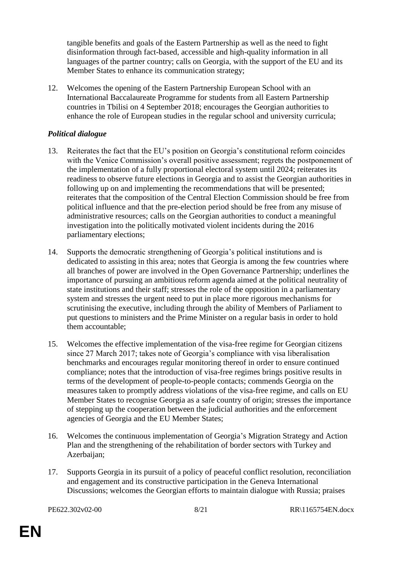tangible benefits and goals of the Eastern Partnership as well as the need to fight disinformation through fact-based, accessible and high-quality information in all languages of the partner country; calls on Georgia, with the support of the EU and its Member States to enhance its communication strategy;

12. Welcomes the opening of the Eastern Partnership European School with an International Baccalaureate Programme for students from all Eastern Partnership countries in Tbilisi on 4 September 2018; encourages the Georgian authorities to enhance the role of European studies in the regular school and university curricula;

#### *Political dialogue*

- 13. Reiterates the fact that the EU's position on Georgia's constitutional reform coincides with the Venice Commission's overall positive assessment; regrets the postponement of the implementation of a fully proportional electoral system until 2024; reiterates its readiness to observe future elections in Georgia and to assist the Georgian authorities in following up on and implementing the recommendations that will be presented; reiterates that the composition of the Central Election Commission should be free from political influence and that the pre-election period should be free from any misuse of administrative resources; calls on the Georgian authorities to conduct a meaningful investigation into the politically motivated violent incidents during the 2016 parliamentary elections;
- 14. Supports the democratic strengthening of Georgia's political institutions and is dedicated to assisting in this area; notes that Georgia is among the few countries where all branches of power are involved in the Open Governance Partnership; underlines the importance of pursuing an ambitious reform agenda aimed at the political neutrality of state institutions and their staff; stresses the role of the opposition in a parliamentary system and stresses the urgent need to put in place more rigorous mechanisms for scrutinising the executive, including through the ability of Members of Parliament to put questions to ministers and the Prime Minister on a regular basis in order to hold them accountable;
- 15. Welcomes the effective implementation of the visa-free regime for Georgian citizens since 27 March 2017; takes note of Georgia's compliance with visa liberalisation benchmarks and encourages regular monitoring thereof in order to ensure continued compliance; notes that the introduction of visa-free regimes brings positive results in terms of the development of people-to-people contacts; commends Georgia on the measures taken to promptly address violations of the visa-free regime, and calls on EU Member States to recognise Georgia as a safe country of origin; stresses the importance of stepping up the cooperation between the judicial authorities and the enforcement agencies of Georgia and the EU Member States;
- 16. Welcomes the continuous implementation of Georgia's Migration Strategy and Action Plan and the strengthening of the rehabilitation of border sectors with Turkey and Azerbaijan;
- 17. Supports Georgia in its pursuit of a policy of peaceful conflict resolution, reconciliation and engagement and its constructive participation in the Geneva International Discussions; welcomes the Georgian efforts to maintain dialogue with Russia; praises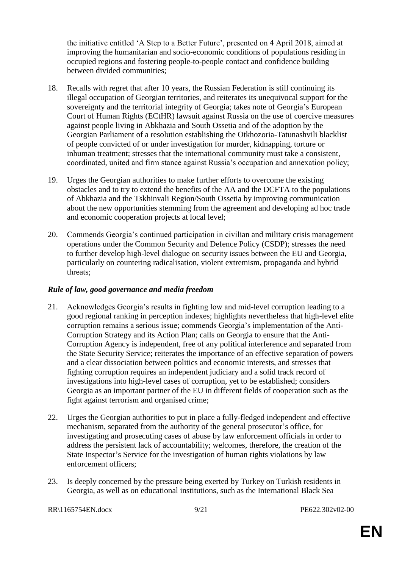the initiative entitled 'A Step to a Better Future', presented on 4 April 2018, aimed at improving the humanitarian and socio-economic conditions of populations residing in occupied regions and fostering people-to-people contact and confidence building between divided communities;

- 18. Recalls with regret that after 10 years, the Russian Federation is still continuing its illegal occupation of Georgian territories, and reiterates its unequivocal support for the sovereignty and the territorial integrity of Georgia; takes note of Georgia's European Court of Human Rights (ECtHR) lawsuit against Russia on the use of coercive measures against people living in Abkhazia and South Ossetia and of the adoption by the Georgian Parliament of a resolution establishing the Otkhozoria-Tatunashvili blacklist of people convicted of or under investigation for murder, kidnapping, torture or inhuman treatment; stresses that the international community must take a consistent, coordinated, united and firm stance against Russia's occupation and annexation policy;
- 19. Urges the Georgian authorities to make further efforts to overcome the existing obstacles and to try to extend the benefits of the AA and the DCFTA to the populations of Abkhazia and the Tskhinvali Region/South Ossetia by improving communication about the new opportunities stemming from the agreement and developing ad hoc trade and economic cooperation projects at local level;
- 20. Commends Georgia's continued participation in civilian and military crisis management operations under the Common Security and Defence Policy (CSDP); stresses the need to further develop high-level dialogue on security issues between the EU and Georgia, particularly on countering radicalisation, violent extremism, propaganda and hybrid threats;

#### *Rule of law, good governance and media freedom*

- 21. Acknowledges Georgia's results in fighting low and mid-level corruption leading to a good regional ranking in perception indexes; highlights nevertheless that high-level elite corruption remains a serious issue; commends Georgia's implementation of the Anti-Corruption Strategy and its Action Plan; calls on Georgia to ensure that the Anti-Corruption Agency is independent, free of any political interference and separated from the State Security Service; reiterates the importance of an effective separation of powers and a clear dissociation between politics and economic interests, and stresses that fighting corruption requires an independent judiciary and a solid track record of investigations into high-level cases of corruption, yet to be established; considers Georgia as an important partner of the EU in different fields of cooperation such as the fight against terrorism and organised crime;
- 22. Urges the Georgian authorities to put in place a fully-fledged independent and effective mechanism, separated from the authority of the general prosecutor's office, for investigating and prosecuting cases of abuse by law enforcement officials in order to address the persistent lack of accountability; welcomes, therefore, the creation of the State Inspector's Service for the investigation of human rights violations by law enforcement officers;
- 23. Is deeply concerned by the pressure being exerted by Turkey on Turkish residents in Georgia, as well as on educational institutions, such as the International Black Sea

RR\1165754EN.docx 9/21 PE622.302v02-00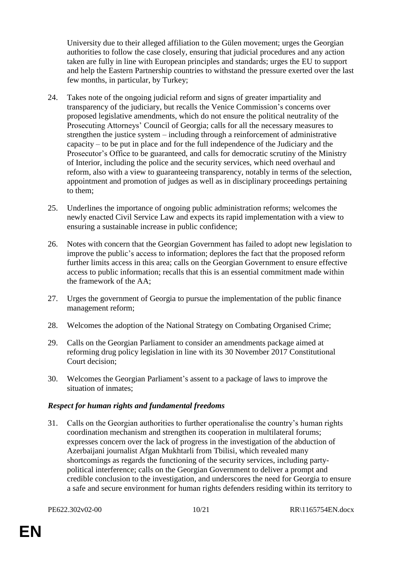University due to their alleged affiliation to the Gülen movement; urges the Georgian authorities to follow the case closely, ensuring that judicial procedures and any action taken are fully in line with European principles and standards; urges the EU to support and help the Eastern Partnership countries to withstand the pressure exerted over the last few months, in particular, by Turkey;

- 24. Takes note of the ongoing judicial reform and signs of greater impartiality and transparency of the judiciary, but recalls the Venice Commission's concerns over proposed legislative amendments, which do not ensure the political neutrality of the Prosecuting Attorneys' Council of Georgia; calls for all the necessary measures to strengthen the justice system – including through a reinforcement of administrative capacity – to be put in place and for the full independence of the Judiciary and the Prosecutor's Office to be guaranteed, and calls for democratic scrutiny of the Ministry of Interior, including the police and the security services, which need overhaul and reform, also with a view to guaranteeing transparency, notably in terms of the selection, appointment and promotion of judges as well as in disciplinary proceedings pertaining to them;
- 25. Underlines the importance of ongoing public administration reforms; welcomes the newly enacted Civil Service Law and expects its rapid implementation with a view to ensuring a sustainable increase in public confidence;
- 26. Notes with concern that the Georgian Government has failed to adopt new legislation to improve the public's access to information; deplores the fact that the proposed reform further limits access in this area; calls on the Georgian Government to ensure effective access to public information; recalls that this is an essential commitment made within the framework of the AA;
- 27. Urges the government of Georgia to pursue the implementation of the public finance management reform;
- 28. Welcomes the adoption of the National Strategy on Combating Organised Crime;
- 29. Calls on the Georgian Parliament to consider an amendments package aimed at reforming drug policy legislation in line with its 30 November 2017 Constitutional Court decision;
- 30. Welcomes the Georgian Parliament's assent to a package of laws to improve the situation of inmates;

### *Respect for human rights and fundamental freedoms*

31. Calls on the Georgian authorities to further operationalise the country's human rights coordination mechanism and strengthen its cooperation in multilateral forums; expresses concern over the lack of progress in the investigation of the abduction of Azerbaijani journalist Afgan Mukhtarli from Tbilisi, which revealed many shortcomings as regards the functioning of the security services, including partypolitical interference; calls on the Georgian Government to deliver a prompt and credible conclusion to the investigation, and underscores the need for Georgia to ensure a safe and secure environment for human rights defenders residing within its territory to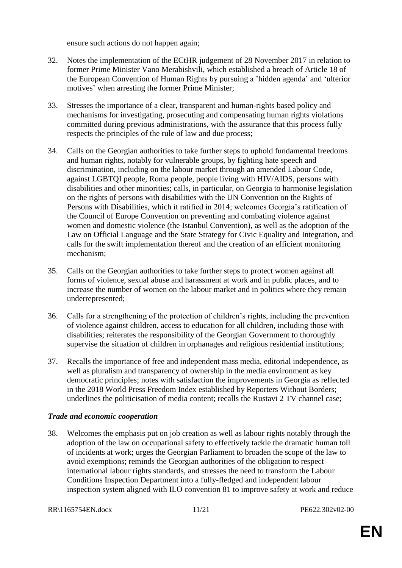ensure such actions do not happen again;

- 32. Notes the implementation of the ECtHR judgement of 28 November 2017 in relation to former Prime Minister Vano Merabishvili, which established a breach of Article 18 of the European Convention of Human Rights by pursuing a 'hidden agenda' and 'ulterior motives' when arresting the former Prime Minister;
- 33. Stresses the importance of a clear, transparent and human-rights based policy and mechanisms for investigating, prosecuting and compensating human rights violations committed during previous administrations, with the assurance that this process fully respects the principles of the rule of law and due process;
- 34. Calls on the Georgian authorities to take further steps to uphold fundamental freedoms and human rights, notably for vulnerable groups, by fighting hate speech and discrimination, including on the labour market through an amended Labour Code, against LGBTQI people, Roma people, people living with HIV/AIDS, persons with disabilities and other minorities; calls, in particular, on Georgia to harmonise legislation on the rights of persons with disabilities with the UN Convention on the Rights of Persons with Disabilities, which it ratified in 2014; welcomes Georgia's ratification of the Council of Europe Convention on preventing and combating violence against women and domestic violence (the Istanbul Convention), as well as the adoption of the Law on Official Language and the State Strategy for Civic Equality and Integration, and calls for the swift implementation thereof and the creation of an efficient monitoring mechanism;
- 35. Calls on the Georgian authorities to take further steps to protect women against all forms of violence, sexual abuse and harassment at work and in public places, and to increase the number of women on the labour market and in politics where they remain underrepresented;
- 36. Calls for a strengthening of the protection of children's rights, including the prevention of violence against children, access to education for all children, including those with disabilities; reiterates the responsibility of the Georgian Government to thoroughly supervise the situation of children in orphanages and religious residential institutions;
- 37. Recalls the importance of free and independent mass media, editorial independence, as well as pluralism and transparency of ownership in the media environment as key democratic principles; notes with satisfaction the improvements in Georgia as reflected in the 2018 World Press Freedom Index established by Reporters Without Borders; underlines the politicisation of media content; recalls the Rustavi 2 TV channel case;

#### *Trade and economic cooperation*

38. Welcomes the emphasis put on job creation as well as labour rights notably through the adoption of the law on occupational safety to effectively tackle the dramatic human toll of incidents at work; urges the Georgian Parliament to broaden the scope of the law to avoid exemptions; reminds the Georgian authorities of the obligation to respect international labour rights standards, and stresses the need to transform the Labour Conditions Inspection Department into a fully-fledged and independent labour inspection system aligned with ILO convention 81 to improve safety at work and reduce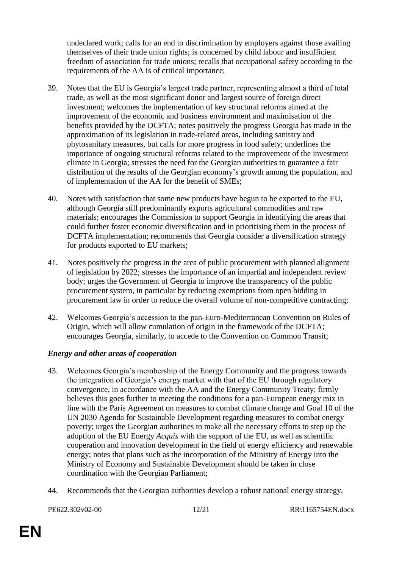undeclared work; calls for an end to discrimination by employers against those availing themselves of their trade union rights; is concerned by child labour and insufficient freedom of association for trade unions; recalls that occupational safety according to the requirements of the AA is of critical importance;

- 39. Notes that the EU is Georgia's largest trade partner, representing almost a third of total trade, as well as the most significant donor and largest source of foreign direct investment; welcomes the implementation of key structural reforms aimed at the improvement of the economic and business environment and maximisation of the benefits provided by the DCFTA; notes positively the progress Georgia has made in the approximation of its legislation in trade-related areas, including sanitary and phytosanitary measures, but calls for more progress in food safety; underlines the importance of ongoing structural reforms related to the improvement of the investment climate in Georgia; stresses the need for the Georgian authorities to guarantee a fair distribution of the results of the Georgian economy's growth among the population, and of implementation of the AA for the benefit of SMEs;
- 40. Notes with satisfaction that some new products have begun to be exported to the EU, although Georgia still predominantly exports agricultural commodities and raw materials; encourages the Commission to support Georgia in identifying the areas that could further foster economic diversification and in prioritising them in the process of DCFTA implementation; recommends that Georgia consider a diversification strategy for products exported to EU markets;
- 41. Notes positively the progress in the area of public procurement with planned alignment of legislation by 2022; stresses the importance of an impartial and independent review body; urges the Government of Georgia to improve the transparency of the public procurement system, in particular by reducing exemptions from open bidding in procurement law in order to reduce the overall volume of non-competitive contracting;
- 42. Welcomes Georgia's accession to the pan-Euro-Mediterranean Convention on Rules of Origin, which will allow cumulation of origin in the framework of the DCFTA; encourages Georgia, similarly, to accede to the Convention on Common Transit;

### *Energy and other areas of cooperation*

- 43. Welcomes Georgia's membership of the Energy Community and the progress towards the integration of Georgia's energy market with that of the EU through regulatory convergence, in accordance with the AA and the Energy Community Treaty; firmly believes this goes further to meeting the conditions for a pan-European energy mix in line with the Paris Agreement on measures to combat climate change and Goal 10 of the UN 2030 Agenda for Sustainable Development regarding measures to combat energy poverty; urges the Georgian authorities to make all the necessary efforts to step up the adoption of the EU Energy *Acquis* with the support of the EU, as well as scientific cooperation and innovation development in the field of energy efficiency and renewable energy; notes that plans such as the incorporation of the Ministry of Energy into the Ministry of Economy and Sustainable Development should be taken in close coordination with the Georgian Parliament;
- 44. Recommends that the Georgian authorities develop a robust national energy strategy,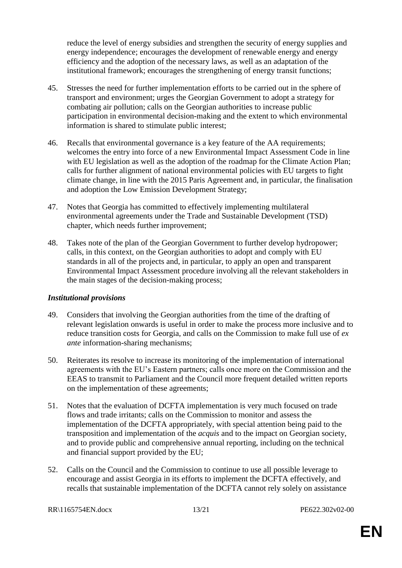reduce the level of energy subsidies and strengthen the security of energy supplies and energy independence; encourages the development of renewable energy and energy efficiency and the adoption of the necessary laws, as well as an adaptation of the institutional framework; encourages the strengthening of energy transit functions;

- 45. Stresses the need for further implementation efforts to be carried out in the sphere of transport and environment; urges the Georgian Government to adopt a strategy for combating air pollution; calls on the Georgian authorities to increase public participation in environmental decision-making and the extent to which environmental information is shared to stimulate public interest;
- 46. Recalls that environmental governance is a key feature of the AA requirements; welcomes the entry into force of a new Environmental Impact Assessment Code in line with EU legislation as well as the adoption of the roadmap for the Climate Action Plan; calls for further alignment of national environmental policies with EU targets to fight climate change, in line with the 2015 Paris Agreement and, in particular, the finalisation and adoption the Low Emission Development Strategy;
- 47. Notes that Georgia has committed to effectively implementing multilateral environmental agreements under the Trade and Sustainable Development (TSD) chapter, which needs further improvement;
- 48. Takes note of the plan of the Georgian Government to further develop hydropower; calls, in this context, on the Georgian authorities to adopt and comply with EU standards in all of the projects and, in particular, to apply an open and transparent Environmental Impact Assessment procedure involving all the relevant stakeholders in the main stages of the decision-making process;

#### *Institutional provisions*

- 49. Considers that involving the Georgian authorities from the time of the drafting of relevant legislation onwards is useful in order to make the process more inclusive and to reduce transition costs for Georgia, and calls on the Commission to make full use of *ex ante* information-sharing mechanisms;
- 50. Reiterates its resolve to increase its monitoring of the implementation of international agreements with the EU's Eastern partners; calls once more on the Commission and the EEAS to transmit to Parliament and the Council more frequent detailed written reports on the implementation of these agreements;
- 51. Notes that the evaluation of DCFTA implementation is very much focused on trade flows and trade irritants; calls on the Commission to monitor and assess the implementation of the DCFTA appropriately, with special attention being paid to the transposition and implementation of the *acquis* and to the impact on Georgian society, and to provide public and comprehensive annual reporting, including on the technical and financial support provided by the EU;
- 52. Calls on the Council and the Commission to continue to use all possible leverage to encourage and assist Georgia in its efforts to implement the DCFTA effectively, and recalls that sustainable implementation of the DCFTA cannot rely solely on assistance

RR\1165754EN.docx 13/21 PE622.302v02-00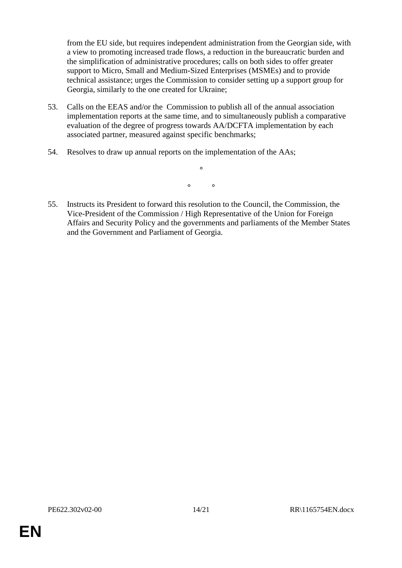from the EU side, but requires independent administration from the Georgian side, with a view to promoting increased trade flows, a reduction in the bureaucratic burden and the simplification of administrative procedures; calls on both sides to offer greater support to Micro, Small and Medium-Sized Enterprises (MSMEs) and to provide technical assistance; urges the Commission to consider setting up a support group for Georgia, similarly to the one created for Ukraine;

- 53. Calls on the EEAS and/or the Commission to publish all of the annual association implementation reports at the same time, and to simultaneously publish a comparative evaluation of the degree of progress towards AA/DCFTA implementation by each associated partner, measured against specific benchmarks;
- 54. Resolves to draw up annual reports on the implementation of the AAs;

*° °*

*°*

55. Instructs its President to forward this resolution to the Council, the Commission, the Vice-President of the Commission / High Representative of the Union for Foreign Affairs and Security Policy and the governments and parliaments of the Member States and the Government and Parliament of Georgia.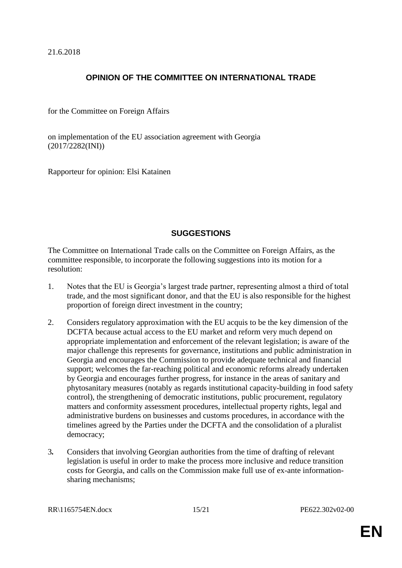21.6.2018

### **OPINION OF THE COMMITTEE ON INTERNATIONAL TRADE**

for the Committee on Foreign Affairs

on implementation of the EU association agreement with Georgia (2017/2282(INI))

Rapporteur for opinion: Elsi Katainen

### **SUGGESTIONS**

The Committee on International Trade calls on the Committee on Foreign Affairs, as the committee responsible, to incorporate the following suggestions into its motion for a resolution:

- 1. Notes that the EU is Georgia's largest trade partner, representing almost a third of total trade, and the most significant donor, and that the EU is also responsible for the highest proportion of foreign direct investment in the country;
- 2. Considers regulatory approximation with the EU acquis to be the key dimension of the DCFTA because actual access to the EU market and reform very much depend on appropriate implementation and enforcement of the relevant legislation; is aware of the major challenge this represents for governance, institutions and public administration in Georgia and encourages the Commission to provide adequate technical and financial support; welcomes the far-reaching political and economic reforms already undertaken by Georgia and encourages further progress, for instance in the areas of sanitary and phytosanitary measures (notably as regards institutional capacity-building in food safety control), the strengthening of democratic institutions, public procurement, regulatory matters and conformity assessment procedures, intellectual property rights, legal and administrative burdens on businesses and customs procedures, in accordance with the timelines agreed by the Parties under the DCFTA and the consolidation of a pluralist democracy;
- 3*.* Considers that involving Georgian authorities from the time of drafting of relevant legislation is useful in order to make the process more inclusive and reduce transition costs for Georgia, and calls on the Commission make full use of ex-ante informationsharing mechanisms;

RR\1165754EN.docx 15/21 PE622.302v02-00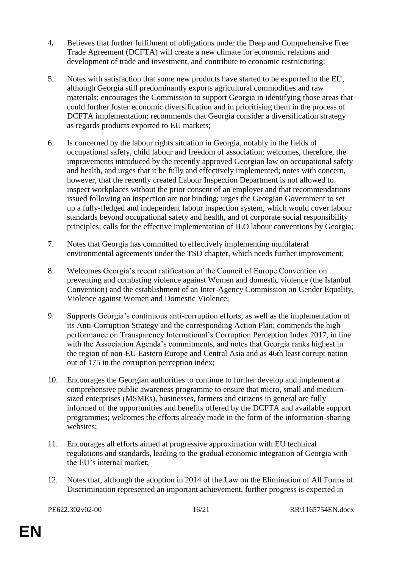- 4*.* Believes that further fulfilment of obligations under the Deep and Comprehensive Free Trade Agreement (DCFTA) will create a new climate for economic relations and development of trade and investment, and contribute to economic restructuring:
- 5. Notes with satisfaction that some new products have started to be exported to the EU, although Georgia still predominantly exports agricultural commodities and raw materials; encourages the Commission to support Georgia in identifying those areas that could further foster economic diversification and in prioritising them in the process of DCFTA implementation; recommends that Georgia consider a diversification strategy as regards products exported to EU markets;
- 6. Is concerned by the labour rights situation in Georgia, notably in the fields of occupational safety, child labour and freedom of association; welcomes, therefore, the improvements introduced by the recently approved Georgian law on occupational safety and health, and urges that it be fully and effectively implemented; notes with concern, however, that the recently created Labour Inspection Department is not allowed to inspect workplaces without the prior consent of an employer and that recommendations issued following an inspection are not binding; urges the Georgian Government to set up a fully-fledged and independent labour inspection system, which would cover labour standards beyond occupational safety and health, and of corporate social responsibility principles; calls for the effective implementation of ILO labour conventions by Georgia;
- 7. Notes that Georgia has committed to effectively implementing multilateral environmental agreements under the TSD chapter, which needs further improvement;
- 8. Welcomes Georgia's recent ratification of the Council of Europe Convention on preventing and combating violence against Women and domestic violence (the Istanbul Convention) and the establishment of an Inter-Agency Commission on Gender Equality, Violence against Women and Domestic Violence;
- 9. Supports Georgia's continuous anti-corruption efforts, as well as the implementation of its Anti-Corruption Strategy and the corresponding Action Plan; commends the high performance on Transparency International's Corruption Perception Index 2017, in line with the Association Agenda's commitments, and notes that Georgia ranks highest in the region of non-EU Eastern Europe and Central Asia and as 46th least corrupt nation out of 175 in the corruption perception index;
- 10. Encourages the Georgian authorities to continue to further develop and implement a comprehensive public awareness programme to ensure that micro, small and mediumsized enterprises (MSMEs), businesses, farmers and citizens in general are fully informed of the opportunities and benefits offered by the DCFTA and available support programmes; welcomes the efforts already made in the form of the information-sharing websites;
- 11. Encourages all efforts aimed at progressive approximation with EU technical regulations and standards, leading to the gradual economic integration of Georgia with the EU's internal market;
- 12. Notes that, although the adoption in 2014 of the Law on the Elimination of All Forms of Discrimination represented an important achievement, further progress is expected in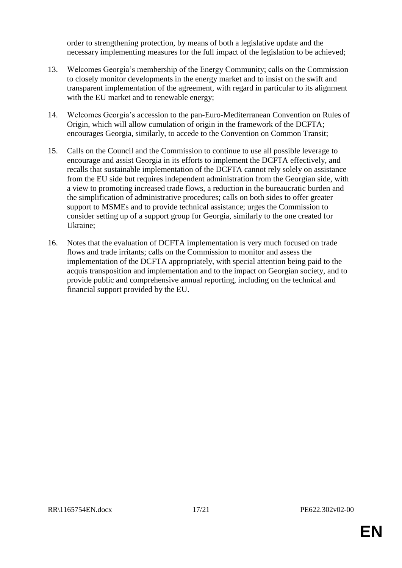order to strengthening protection, by means of both a legislative update and the necessary implementing measures for the full impact of the legislation to be achieved;

- 13. Welcomes Georgia's membership of the Energy Community; calls on the Commission to closely monitor developments in the energy market and to insist on the swift and transparent implementation of the agreement, with regard in particular to its alignment with the EU market and to renewable energy;
- 14. Welcomes Georgia's accession to the pan-Euro-Mediterranean Convention on Rules of Origin, which will allow cumulation of origin in the framework of the DCFTA; encourages Georgia, similarly, to accede to the Convention on Common Transit;
- 15. Calls on the Council and the Commission to continue to use all possible leverage to encourage and assist Georgia in its efforts to implement the DCFTA effectively, and recalls that sustainable implementation of the DCFTA cannot rely solely on assistance from the EU side but requires independent administration from the Georgian side, with a view to promoting increased trade flows, a reduction in the bureaucratic burden and the simplification of administrative procedures; calls on both sides to offer greater support to MSMEs and to provide technical assistance; urges the Commission to consider setting up of a support group for Georgia, similarly to the one created for Ukraine;
- 16. Notes that the evaluation of DCFTA implementation is very much focused on trade flows and trade irritants; calls on the Commission to monitor and assess the implementation of the DCFTA appropriately, with special attention being paid to the acquis transposition and implementation and to the impact on Georgian society, and to provide public and comprehensive annual reporting, including on the technical and financial support provided by the EU.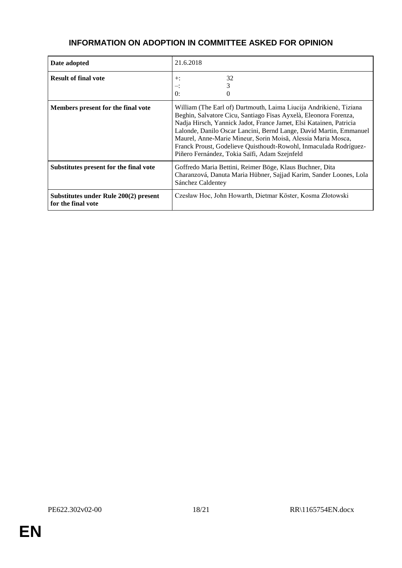# **INFORMATION ON ADOPTION IN COMMITTEE ASKED FOR OPINION**

| Date adopted                                                | 21.6.2018                                                                                                                                                                                                                                                                                                                                                                                                                                                                |
|-------------------------------------------------------------|--------------------------------------------------------------------------------------------------------------------------------------------------------------------------------------------------------------------------------------------------------------------------------------------------------------------------------------------------------------------------------------------------------------------------------------------------------------------------|
| <b>Result of final vote</b>                                 | 32<br>$+$ :<br>≕:<br>0:                                                                                                                                                                                                                                                                                                                                                                                                                                                  |
| Members present for the final vote                          | William (The Earl of) Dartmouth, Laima Liucija Andrikienė, Tiziana<br>Beghin, Salvatore Cicu, Santiago Fisas Ayxelà, Eleonora Forenza,<br>Nadja Hirsch, Yannick Jadot, France Jamet, Elsi Katainen, Patricia<br>Lalonde, Danilo Oscar Lancini, Bernd Lange, David Martin, Emmanuel<br>Maurel, Anne-Marie Mineur, Sorin Moisă, Alessia Maria Mosca,<br>Franck Proust, Godelieve Quisthoudt-Rowohl, Inmaculada Rodríguez-<br>Piñero Fernández, Tokia Saïfi, Adam Szejnfeld |
| Substitutes present for the final vote                      | Goffredo Maria Bettini, Reimer Böge, Klaus Buchner, Dita<br>Charanzová, Danuta Maria Hübner, Sajjad Karim, Sander Loones, Lola<br>Sánchez Caldentey                                                                                                                                                                                                                                                                                                                      |
| Substitutes under Rule 200(2) present<br>for the final vote | Czesław Hoc, John Howarth, Dietmar Köster, Kosma Złotowski                                                                                                                                                                                                                                                                                                                                                                                                               |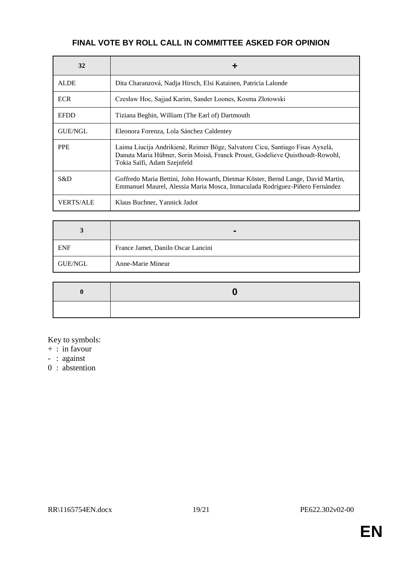# **FINAL VOTE BY ROLL CALL IN COMMITTEE ASKED FOR OPINION**

| 32               | ٠                                                                                                                                                                                             |
|------------------|-----------------------------------------------------------------------------------------------------------------------------------------------------------------------------------------------|
| <b>ALDE</b>      | Dita Charanzová, Nadja Hirsch, Elsi Katainen, Patricia Lalonde                                                                                                                                |
| <b>ECR</b>       | Czesław Hoc, Sajjad Karim, Sander Loones, Kosma Złotowski                                                                                                                                     |
| <b>EFDD</b>      | Tiziana Beghin, William (The Earl of) Dartmouth                                                                                                                                               |
| <b>GUE/NGL</b>   | Eleonora Forenza, Lola Sánchez Caldentey                                                                                                                                                      |
| <b>PPE</b>       | Laima Liucija Andrikienė, Reimer Böge, Salvatore Cicu, Santiago Fisas Ayxelà,<br>Danuta Maria Hübner, Sorin Moisă, Franck Proust, Godelieve Quisthoudt-Rowohl,<br>Tokia Saïfi, Adam Szejnfeld |
| S&D              | Goffredo Maria Bettini, John Howarth, Dietmar Köster, Bernd Lange, David Martin,<br>Emmanuel Maurel, Alessia Maria Mosca, Inmaculada Rodríguez-Piñero Fernández                               |
| <b>VERTS/ALE</b> | Klaus Buchner, Yannick Jadot                                                                                                                                                                  |

| <b>ENF</b> | France Jamet, Danilo Oscar Lancini |
|------------|------------------------------------|
| GUE/NGL    | Anne-Marie Mineur                  |

Key to symbols:

- $+$  : in favour
- : against
- 0 : abstention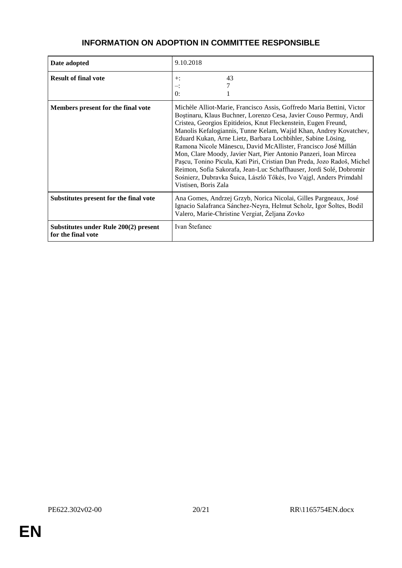| Date adopted                                                | 9.10.2018                                                                                                                                                                                                                                                                                                                                                                                                                                                                                                                                                                                                                                                                                                                               |
|-------------------------------------------------------------|-----------------------------------------------------------------------------------------------------------------------------------------------------------------------------------------------------------------------------------------------------------------------------------------------------------------------------------------------------------------------------------------------------------------------------------------------------------------------------------------------------------------------------------------------------------------------------------------------------------------------------------------------------------------------------------------------------------------------------------------|
| <b>Result of final vote</b>                                 | 43<br>$+$ :<br>∹.<br>$\mathbf{0}$ :                                                                                                                                                                                                                                                                                                                                                                                                                                                                                                                                                                                                                                                                                                     |
| Members present for the final vote                          | Michèle Alliot-Marie, Francisco Assis, Goffredo Maria Bettini, Victor<br>Boștinaru, Klaus Buchner, Lorenzo Cesa, Javier Couso Permuy, Andi<br>Cristea, Georgios Epitideios, Knut Fleckenstein, Eugen Freund,<br>Manolis Kefalogiannis, Tunne Kelam, Wajid Khan, Andrey Kovatchev,<br>Eduard Kukan, Arne Lietz, Barbara Lochbihler, Sabine Lösing,<br>Ramona Nicole Mănescu, David McAllister, Francisco José Millán<br>Mon, Clare Moody, Javier Nart, Pier Antonio Panzeri, Ioan Mircea<br>Pașcu, Tonino Picula, Kati Piri, Cristian Dan Preda, Jozo Radoš, Michel<br>Reimon, Sofia Sakorafa, Jean-Luc Schaffhauser, Jordi Solé, Dobromir<br>Sośnierz, Dubravka Šuica, László Tőkés, Ivo Vajgl, Anders Primdahl<br>Vistisen, Boris Zala |
| Substitutes present for the final vote                      | Ana Gomes, Andrzej Grzyb, Norica Nicolai, Gilles Pargneaux, José<br>Ignacio Salafranca Sánchez-Neyra, Helmut Scholz, Igor Šoltes, Bodil<br>Valero, Marie-Christine Vergiat, Željana Zovko                                                                                                                                                                                                                                                                                                                                                                                                                                                                                                                                               |
| Substitutes under Rule 200(2) present<br>for the final vote | Ivan Štefanec                                                                                                                                                                                                                                                                                                                                                                                                                                                                                                                                                                                                                                                                                                                           |

## **INFORMATION ON ADOPTION IN COMMITTEE RESPONSIBLE**